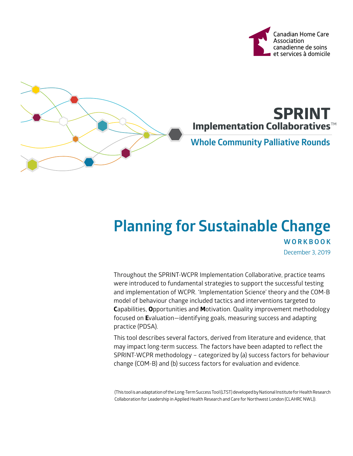



# **Implementation Collaboratives**™ **SPRINT**

### **Whole Community Palliative Rounds**

## **Planning for Sustainable Change WORKBOOK** December 3, 2019

Throughout the SPRINT-WCPR Implementation Collaborative, practice teams were introduced to fundamental strategies to support the successful testing and implementation of WCPR. 'Implementation Science' theory and the COM-B model of behaviour change included tactics and interventions targeted to **C**apabilities, **O**pportunities and **M**otivation. Quality improvement methodology focused on **E**valuation—identifying goals, measuring success and adapting practice (PDSA).

This tool describes several factors, derived from literature and evidence, that may impact long-term success. The factors have been adapted to reflect the SPRINT-WCPR methodology – categorized by (a) success factors for behaviour change (COM-B) and (b) success factors for evaluation and evidence.

(This tool is an adaptation of the Long-Term Success Tool (LTST) developed by National Institute for Health Research Collaboration for Leadership in Applied Health Research and Care for Northwest London (CLAHRC NWL)).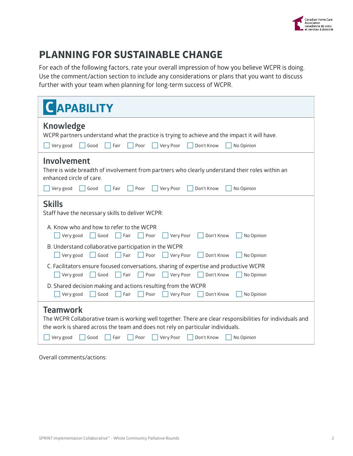

### **PLANNING FOR SUSTAINABLE CHANGE**

For each of the following factors, rate your overall impression of how you believe WCPR is doing. Use the comment/action section to include any considerations or plans that you want to discuss further with your team when planning for long-term success of WCPR.

| <b>CAPABILITY</b>                                                                                                                                                                                                                                                                              |
|------------------------------------------------------------------------------------------------------------------------------------------------------------------------------------------------------------------------------------------------------------------------------------------------|
| <b>Knowledge</b><br>WCPR partners understand what the practice is trying to achieve and the impact it will have.<br>Very good<br>Good<br>Fair<br>Poor<br>Very Poor<br>Don't Know<br>No Opinion                                                                                                 |
| Involvement<br>There is wide breadth of involvement from partners who clearly understand their roles within an<br>enhanced circle of care.<br>Very good<br>Very Poor<br>No Opinion<br>Good<br>Fair<br>Poor<br>Don't Know                                                                       |
| <b>Skills</b><br>Staff have the necessary skills to deliver WCPR:                                                                                                                                                                                                                              |
| A. Know who and how to refer to the WCPR<br>Very good<br>Good<br>Poor<br>Very Poor<br>Don't Know<br>No Opinion<br>Fair                                                                                                                                                                         |
| B. Understand collaborative participation in the WCPR<br>$\sqrt{\frac{1}{2}}$ Very good<br>Good<br>$\vert \vert$ Fair<br>Very Poor<br>Poor<br>Don't Know<br>No Opinion                                                                                                                         |
| C. Facilitators ensure focused conversations, sharing of expertise and productive WCPR<br>Very good<br>Very Poor<br>Don't Know<br>No Opinion<br>Good<br>Fair<br>Poor                                                                                                                           |
| D. Shared decision making and actions resulting from the WCPR<br>Very good<br>Good<br>Poor<br>Very Poor<br>Don't Know<br>No Opinion<br>Fair                                                                                                                                                    |
| <b>Teamwork</b><br>The WCPR Collaborative team is working well together. There are clear responsibilities for individuals and<br>the work is shared across the team and does not rely on particular individuals.<br>Very good<br>Good<br>Fair<br>Poor<br>Very Poor<br>Don't Know<br>No Opinion |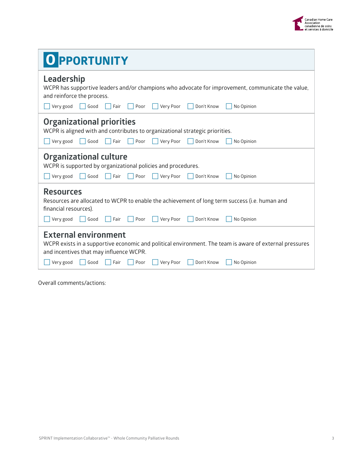

| <b>O PPORTUNITY</b>                                                                                                                                                                                                                                             |  |  |  |  |
|-----------------------------------------------------------------------------------------------------------------------------------------------------------------------------------------------------------------------------------------------------------------|--|--|--|--|
| Leadership<br>WCPR has supportive leaders and/or champions who advocate for improvement, communicate the value,<br>and reinforce the process.<br>Very good<br>Very Poor<br>Don't Know<br>No Opinion<br>Good<br>Fair<br>Poor                                     |  |  |  |  |
| <b>Organizational priorities</b><br>WCPR is aligned with and contributes to organizational strategic priorities.<br>Very good<br>Very Poor<br>Don't Know<br>Good<br>Fair<br>Poor<br>No Opinion                                                                  |  |  |  |  |
| <b>Organizational culture</b><br>WCPR is supported by organizational policies and procedures.<br>Very good<br>Poor<br>Very Poor<br>Don't Know<br>No Opinion<br>Good<br>Fair                                                                                     |  |  |  |  |
| <b>Resources</b><br>Resources are allocated to WCPR to enable the achievement of long term success (i.e. human and<br>financial resources).<br>Very good<br>Very Poor<br>Good<br>Fair<br>Poor<br>Don't Know<br>No Opinion                                       |  |  |  |  |
| <b>External environment</b><br>WCPR exists in a supportive economic and political environment. The team is aware of external pressures<br>and incentives that may influence WCPR.<br>Very good<br>Good<br>Fair<br>Poor<br>Very Poor<br>Don't Know<br>No Opinion |  |  |  |  |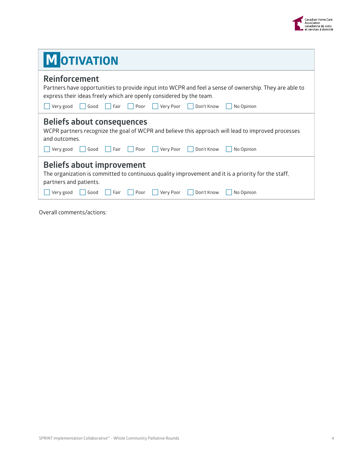

| <b>MOTIVATION</b>                                                                                                                                                                                                                               |
|-------------------------------------------------------------------------------------------------------------------------------------------------------------------------------------------------------------------------------------------------|
| <b>Reinforcement</b><br>Partners have opportunities to provide input into WCPR and feel a sense of ownership. They are able to<br>express their ideas freely which are openly considered by the team.                                           |
| Fair<br>Poor<br>Very Poor<br>  Don't Know<br>No Opinion<br>Good<br>Very good                                                                                                                                                                    |
| <b>Beliefs about consequences</b><br>WCPR partners recognize the goal of WCPR and believe this approach will lead to improved processes<br>and outcomes.<br>Very Poor<br>Poor    <br>Don't Know<br>No Opinion<br>Very good<br>Good<br>Fair      |
| <b>Beliefs about improvement</b><br>The organization is committed to continuous quality improvement and it is a priority for the staff,<br>partners and patients.<br>Fair<br>Very Poor<br>Don't Know<br>No Opinion<br>Good<br>Poor<br>Very good |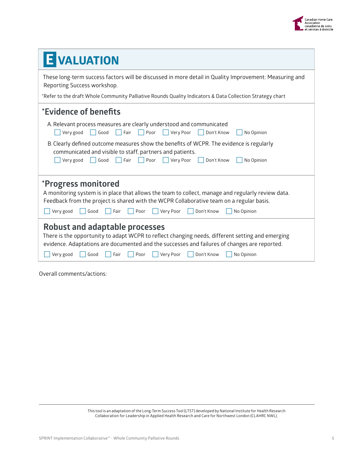

| E VALUATION                                                                                                                                                                                                                                                                                                             |  |  |  |  |  |  |
|-------------------------------------------------------------------------------------------------------------------------------------------------------------------------------------------------------------------------------------------------------------------------------------------------------------------------|--|--|--|--|--|--|
| These long-term success factors will be discussed in more detail in Quality Improvement: Measuring and<br>Reporting Success workshop.                                                                                                                                                                                   |  |  |  |  |  |  |
| *Refer to the draft Whole Community Palliative Rounds Quality Indicators & Data Collection Strategy chart                                                                                                                                                                                                               |  |  |  |  |  |  |
| *Evidence of benefits                                                                                                                                                                                                                                                                                                   |  |  |  |  |  |  |
| A. Relevant process measures are clearly understood and communicated<br>Very good<br>Good<br>No Opinion<br>Fair<br>Poor<br>Very Poor<br>Don't Know                                                                                                                                                                      |  |  |  |  |  |  |
| B. Clearly defined outcome measures show the benefits of WCPR. The evidence is regularly<br>communicated and visible to staff, partners and patients.<br>Don't Know<br>No Opinion<br>Very good<br>Good<br>Fair<br>Poor<br>Very Poor                                                                                     |  |  |  |  |  |  |
| *Progress monitored<br>A monitoring system is in place that allows the team to collect, manage and regularly review data.<br>Feedback from the project is shared with the WCPR Collaborative team on a regular basis.<br>Very good<br>Fair<br>Poor<br>Very Poor<br>Don't Know<br>Good<br>No Opinion                     |  |  |  |  |  |  |
| <b>Robust and adaptable processes</b><br>There is the opportunity to adapt WCPR to reflect changing needs, different setting and emerging<br>evidence. Adaptations are documented and the successes and failures of changes are reported.<br>Very good<br>Poor<br>Very Poor<br>Don't Know<br>No Opinion<br>Good<br>Fair |  |  |  |  |  |  |